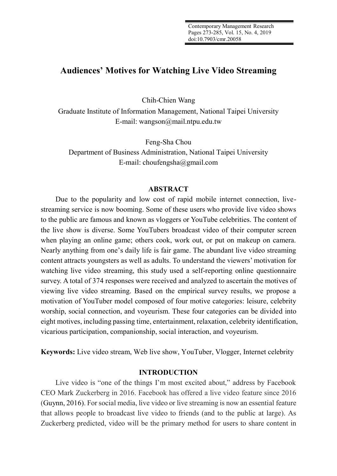# **Audiences' Motives for Watching Live Video Streaming**

Chih-Chien Wang

Graduate Institute of Information Management, National Taipei University E-mail: wangson@mail.ntpu.edu.tw

Feng-Sha Chou Department of Business Administration, National Taipei University E-mail: choufengsha@gmail.com

# **ABSTRACT**

Due to the popularity and low cost of rapid mobile internet connection, livestreaming service is now booming. Some of these users who provide live video shows to the public are famous and known as vloggers or YouTube celebrities. The content of the live show is diverse. Some YouTubers broadcast video of their computer screen when playing an online game; others cook, work out, or put on makeup on camera. Nearly anything from one's daily life is fair game. The abundant live video streaming content attracts youngsters as well as adults. To understand the viewers' motivation for watching live video streaming, this study used a self-reporting online questionnaire survey. A total of 374 responses were received and analyzed to ascertain the motives of viewing live video streaming. Based on the empirical survey results, we propose a motivation of YouTuber model composed of four motive categories: leisure, celebrity worship, social connection, and voyeurism. These four categories can be divided into eight motives, including passing time, entertainment, relaxation, celebrity identification, vicarious participation, companionship, social interaction, and voyeurism.

**Keywords:** Live video stream, Web live show, YouTuber, Vlogger, Internet celebrity

# **INTRODUCTION**

Live video is "one of the things I'm most excited about," address by Facebook CEO Mark Zuckerberg in 2016. Facebook has offered a live video feature since 2016 (Guynn, 2016). For social media, live video or live streaming is now an essential feature that allows people to broadcast live video to friends (and to the public at large). As Zuckerberg predicted, video will be the primary method for users to share content in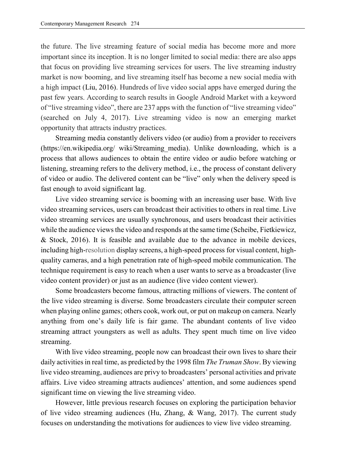the future. The live streaming feature of social media has become more and more important since its inception. It is no longer limited to social media: there are also apps that focus on providing live streaming services for users. The live streaming industry market is now booming, and live streaming itself has become a new social media with a high impact (Liu, 2016). Hundreds of live video social apps have emerged during the past few years. According to search results in Google Android Market with a keyword of "live streaming video", there are 237 apps with the function of "live streaming video" (searched on July 4, 2017). Live streaming video is now an emerging market opportunity that attracts industry practices.

Streaming media constantly delivers video (or audio) from a provider to receivers (https://en.wikipedia.org/ wiki/Streaming\_media). Unlike downloading, which is a process that allows audiences to obtain the entire video or audio before watching or listening, streaming refers to the delivery method, i.e., the process of constant delivery of video or audio. The delivered content can be "live" only when the delivery speed is fast enough to avoid significant lag.

Live video streaming service is booming with an increasing user base. With live video streaming services, users can broadcast their activities to others in real time. Live video streaming services are usually synchronous, and users broadcast their activities while the audience views the video and responds at the same time (Scheibe, Fietkiewicz, & Stock, 2016). It is feasible and available due to the advance in mobile devices, including high-resolution display screens, a high-speed process for visual content, highquality cameras, and a high penetration rate of high-speed mobile communication. The technique requirement is easy to reach when a user wants to serve as a broadcaster (live video content provider) or just as an audience (live video content viewer).

Some broadcasters become famous, attracting millions of viewers. The content of the live video streaming is diverse. Some broadcasters circulate their computer screen when playing online games; others cook, work out, or put on makeup on camera. Nearly anything from one's daily life is fair game. The abundant contents of live video streaming attract youngsters as well as adults. They spent much time on live video streaming.

With live video streaming, people now can broadcast their own lives to share their daily activities in real time, as predicted by the 1998 film *The Truman Show*. By viewing live video streaming, audiences are privy to broadcasters' personal activities and private affairs. Live video streaming attracts audiences' attention, and some audiences spend significant time on viewing the live streaming video.

However, little previous research focuses on exploring the participation behavior of live video streaming audiences (Hu, Zhang, & Wang, 2017). The current study focuses on understanding the motivations for audiences to view live video streaming.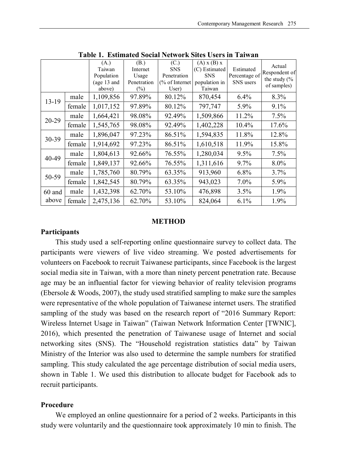|        |        | (A.)<br>Taiwan<br>Population<br>(age 13 and<br>above) | (B.)<br>Internet<br>Usage<br>Penetration<br>$(\%)$ | (C.)<br><b>SNS</b><br>Penetration<br>$\frac{6}{6}$ of Internet<br>User) | $(A)$ x $(B)$ x<br>(C) Estimated<br><b>SNS</b><br>population in<br>Taiwan | Estimated<br>Percentage of<br>SNS users | Actual<br>Respondent of<br>the study $\frac{6}{6}$<br>of samples) |  |
|--------|--------|-------------------------------------------------------|----------------------------------------------------|-------------------------------------------------------------------------|---------------------------------------------------------------------------|-----------------------------------------|-------------------------------------------------------------------|--|
| 13-19  | male   | 1,109,856                                             | 97.89%                                             | 80.12%                                                                  | 870,454                                                                   | 6.4%                                    | 8.3%                                                              |  |
|        | female | 1,017,152                                             | 97.89%                                             | 80.12%                                                                  | 797,747                                                                   | 5.9%                                    | 9.1%                                                              |  |
| 20-29  | male   | 1,664,421                                             | 98.08%                                             | 92.49%                                                                  | 1,509,866                                                                 | 11.2%                                   | 7.5%                                                              |  |
|        | female | 1,545,765                                             | 98.08%                                             | 92.49%                                                                  | 1,402,228                                                                 | 10.4%                                   | 17.6%                                                             |  |
| 30-39  | male   | 1,896,047                                             | 97.23%                                             | 86.51%                                                                  | 1,594,835                                                                 | 11.8%                                   | 12.8%                                                             |  |
|        | female | 1,914,692                                             | 97.23%                                             | 86.51%                                                                  | 1,610,518                                                                 | 11.9%                                   | 15.8%                                                             |  |
| 40-49  | male   | 1,804,613                                             | 92.66%                                             | 76.55%                                                                  | 1,280,034                                                                 | 9.5%                                    | 7.5%                                                              |  |
|        | female | 1,849,137                                             | 92.66%                                             | 76.55%                                                                  | 1,311,616                                                                 | 9.7%                                    | 8.0%                                                              |  |
| 50-59  | male   | 1,785,760                                             | 80.79%                                             | 63.35%                                                                  | 913,960                                                                   | 6.8%                                    | 3.7%                                                              |  |
|        | female | 1,842,545                                             | 80.79%                                             | 63.35%                                                                  | 943,023                                                                   | 7.0%                                    | 5.9%                                                              |  |
| 60 and | male   | 1,432,398                                             | 62.70%                                             | 53.10%                                                                  | 476,898                                                                   | 3.5%                                    | 1.9%                                                              |  |
| above  | female | 2,475,136                                             | 62.70%                                             | 53.10%                                                                  | 824,064                                                                   | 6.1%                                    | 1.9%                                                              |  |

**Table 1. Estimated Social Network Sites Users in Taiwan**

#### **METHOD**

#### **Participants**

This study used a self-reporting online questionnaire survey to collect data. The participants were viewers of live video streaming. We posted advertisements for volunteers on Facebook to recruit Taiwanese participants, since Facebook is the largest social media site in Taiwan, with a more than ninety percent penetration rate. Because age may be an influential factor for viewing behavior of reality television programs (Ebersole & Woods, 2007), the study used stratified sampling to make sure the samples were representative of the whole population of Taiwanese internet users. The stratified sampling of the study was based on the research report of "2016 Summary Report: Wireless Internet Usage in Taiwan" (Taiwan Network Information Center [TWNIC], 2016), which presented the penetration of Taiwanese usage of Internet and social networking sites (SNS). The "Household registration statistics data" by Taiwan Ministry of the Interior was also used to determine the sample numbers for stratified sampling. This study calculated the age percentage distribution of social media users, shown in Table 1. We used this distribution to allocate budget for Facebook ads to recruit participants.

### **Procedure**

We employed an online questionnaire for a period of 2 weeks. Participants in this study were voluntarily and the questionnaire took approximately 10 min to finish. The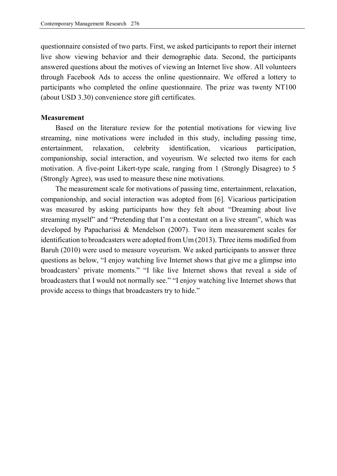questionnaire consisted of two parts. First, we asked participants to report their internet live show viewing behavior and their demographic data. Second, the participants answered questions about the motives of viewing an Internet live show. All volunteers through Facebook Ads to access the online questionnaire. We offered a lottery to participants who completed the online questionnaire. The prize was twenty NT100 (about USD 3.30) convenience store gift certificates.

#### **Measurement**

Based on the literature review for the potential motivations for viewing live streaming, nine motivations were included in this study, including passing time, entertainment, relaxation, celebrity identification, vicarious participation, companionship, social interaction, and voyeurism. We selected two items for each motivation. A five-point Likert-type scale, ranging from 1 (Strongly Disagree) to 5 (Strongly Agree), was used to measure these nine motivations.

The measurement scale for motivations of passing time, entertainment, relaxation, companionship, and social interaction was adopted from [6]. Vicarious participation was measured by asking participants how they felt about "Dreaming about live streaming myself" and "Pretending that I'm a contestant on a live stream", which was developed by Papacharissi & Mendelson (2007). Two item measurement scales for identification to broadcasters were adopted from Um (2013). Three items modified from Baruh (2010) were used to measure voyeurism. We asked participants to answer three questions as below, "I enjoy watching live Internet shows that give me a glimpse into broadcasters' private moments." "I like live Internet shows that reveal a side of broadcasters that I would not normally see." "I enjoy watching live Internet shows that provide access to things that broadcasters try to hide."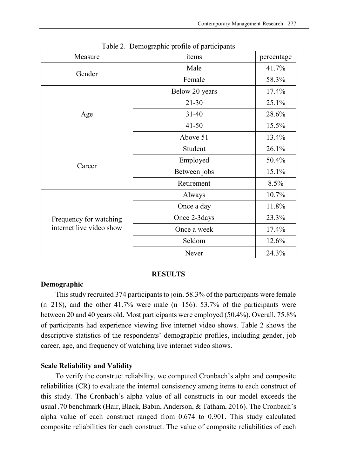| Measure                  | items          | percentage |
|--------------------------|----------------|------------|
| Gender                   | Male           | 41.7%      |
|                          | Female         | 58.3%      |
|                          | Below 20 years | 17.4%      |
|                          | $21 - 30$      | 25.1%      |
| Age                      | $31 - 40$      | 28.6%      |
|                          | $41 - 50$      | 15.5%      |
|                          | Above 51       | 13.4%      |
|                          | Student        | 26.1%      |
| Career                   | Employed       | 50.4%      |
|                          | Between jobs   | 15.1%      |
|                          | Retirement     | 8.5%       |
|                          | Always         | 10.7%      |
|                          | Once a day     | 11.8%      |
| Frequency for watching   | Once 2-3 days  | 23.3%      |
| internet live video show | Once a week    | 17.4%      |
|                          | Seldom         | 12.6%      |
|                          | Never          | 24.3%      |

Table 2. Demographic profile of participants

#### **RESULTS**

### **Demographic**

This study recruited 374 participants to join. 58.3% of the participants were female  $(n=218)$ , and the other 41.7% were male  $(n=156)$ . 53.7% of the participants were between 20 and 40 years old. Most participants were employed (50.4%). Overall, 75.8% of participants had experience viewing live internet video shows. Table 2 shows the descriptive statistics of the respondents' demographic profiles, including gender, job career, age, and frequency of watching live internet video shows.

## **Scale Reliability and Validity**

To verify the construct reliability, we computed Cronbach's alpha and composite reliabilities (CR) to evaluate the internal consistency among items to each construct of this study. The Cronbach's alpha value of all constructs in our model exceeds the usual .70 benchmark (Hair, Black, Babin, Anderson, & Tatham, 2016). The Cronbach's alpha value of each construct ranged from 0.674 to 0.901. This study calculated composite reliabilities for each construct. The value of composite reliabilities of each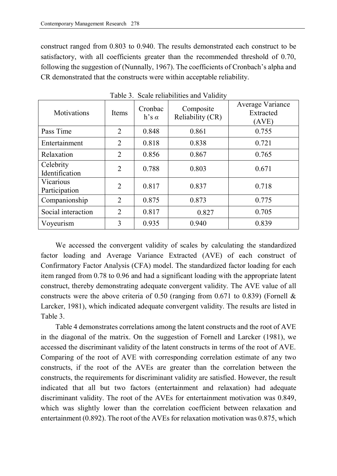construct ranged from 0.803 to 0.940. The results demonstrated each construct to be satisfactory, with all coefficients greater than the recommended threshold of 0.70, following the suggestion of (Nunnally, 1967). The coefficients of Cronbach's alpha and CR demonstrated that the constructs were within acceptable reliability.

| Motivations                 | Items          | Cronbac<br>$h's \alpha$ | Composite<br>Reliability (CR) | Average Variance<br>Extracted<br>(AVE) |
|-----------------------------|----------------|-------------------------|-------------------------------|----------------------------------------|
| Pass Time                   | $\overline{2}$ | 0.848                   | 0.861                         | 0.755                                  |
| Entertainment               | $\overline{2}$ | 0.818                   | 0.838                         | 0.721                                  |
| Relaxation                  | $\overline{2}$ | 0.856                   | 0.867                         | 0.765                                  |
| Celebrity<br>Identification | $\overline{2}$ | 0.788                   | 0.803                         | 0.671                                  |
| Vicarious<br>Participation  | $\overline{2}$ | 0.817                   | 0.837                         | 0.718                                  |
| Companionship               | $\overline{2}$ | 0.875                   | 0.873                         | 0.775                                  |
| Social interaction          | $\overline{2}$ | 0.817                   | 0.827                         | 0.705                                  |
| Voyeurism                   | 3              | 0.935                   | 0.940                         | 0.839                                  |

Table 3. Scale reliabilities and Validity

We accessed the convergent validity of scales by calculating the standardized factor loading and Average Variance Extracted (AVE) of each construct of Confirmatory Factor Analysis (CFA) model. The standardized factor loading for each item ranged from 0.78 to 0.96 and had a significant loading with the appropriate latent construct, thereby demonstrating adequate convergent validity. The AVE value of all constructs were the above criteria of 0.50 (ranging from 0.671 to 0.839) (Fornell & Larcker, 1981), which indicated adequate convergent validity. The results are listed in Table 3.

Table 4 demonstrates correlations among the latent constructs and the root of AVE in the diagonal of the matrix. On the suggestion of Fornell and Larcker (1981), we accessed the discriminant validity of the latent constructs in terms of the root of AVE. Comparing of the root of AVE with corresponding correlation estimate of any two constructs, if the root of the AVEs are greater than the correlation between the constructs, the requirements for discriminant validity are satisfied. However, the result indicated that all but two factors (entertainment and relaxation) had adequate discriminant validity. The root of the AVEs for entertainment motivation was 0.849, which was slightly lower than the correlation coefficient between relaxation and entertainment (0.892). The root of the AVEs for relaxation motivation was 0.875, which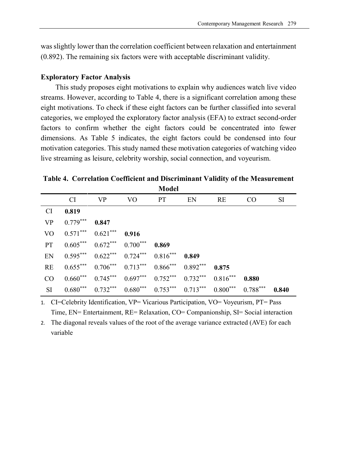was slightly lower than the correlation coefficient between relaxation and entertainment (0.892). The remaining six factors were with acceptable discriminant validity.

# **Exploratory Factor Analysis**

This study proposes eight motivations to explain why audiences watch live video streams. However, according to Table 4, there is a significant correlation among these eight motivations. To check if these eight factors can be further classified into several categories, we employed the exploratory factor analysis (EFA) to extract second-order factors to confirm whether the eight factors could be concentrated into fewer dimensions. As Table 5 indicates, the eight factors could be condensed into four motivation categories. This study named these motivation categories of watching video live streaming as leisure, celebrity worship, social connection, and voyeurism.

**Table 4. Correlation Coefficient and Discriminant Validity of the Measurement Model**

|           |                                                |                                                                              | TATAN |       |     |                 |           |
|-----------|------------------------------------------------|------------------------------------------------------------------------------|-------|-------|-----|-----------------|-----------|
|           |                                                | CI VP VO PT EN                                                               |       |       | RE. | CO <sub>1</sub> | <b>SI</b> |
| CI.       | 0.819                                          |                                                                              |       |       |     |                 |           |
| VP        | $0.779***$ 0.847                               |                                                                              |       |       |     |                 |           |
|           | VO $0.571***$ $0.621***$ $0.916$               |                                                                              |       |       |     |                 |           |
| <b>PT</b> |                                                | $0.605***$ $0.672***$ $0.700***$ $0.869$                                     |       |       |     |                 |           |
|           | EN $0.595***$ $0.622***$ $0.724***$ $0.816***$ |                                                                              |       | 0.849 |     |                 |           |
| RE        |                                                | $0.655***$ $0.706***$ $0.713***$ $0.866***$ $0.892***$ $0.875$               |       |       |     |                 |           |
| CO        |                                                | $0.660***$ $0.745***$ $0.697***$ $0.752***$ $0.732***$ $0.816***$            |       |       |     | 0.880           |           |
| SI        |                                                | $0.680***$ $0.732***$ $0.680***$ $0.753***$ $0.713***$ $0.800***$ $0.788***$ |       |       |     |                 | 0.840     |

1. CI=Celebrity Identification, VP= Vicarious Participation, VO= Voyeurism, PT= Pass Time, EN= Entertainment, RE= Relaxation, CO= Companionship, SI= Social interaction

2. The diagonal reveals values of the root of the average variance extracted (AVE) for each variable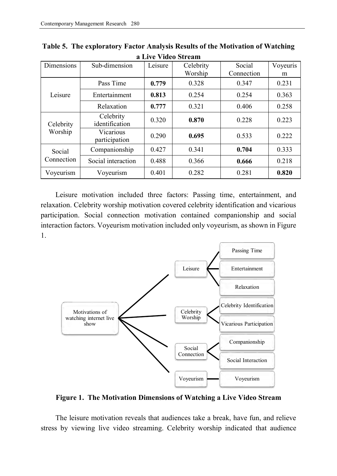| <b>Dimensions</b>    | Sub-dimension               | Leisure | Celebrity<br>Worship | Social<br>Connection | Voyeuris<br>m |
|----------------------|-----------------------------|---------|----------------------|----------------------|---------------|
| Leisure              | Pass Time                   | 0.779   | 0.328                | 0.347                | 0.231         |
|                      | Entertainment               | 0.813   | 0.254                | 0.254                | 0.363         |
|                      | Relaxation                  | 0.777   | 0.321                | 0.406                | 0.258         |
| Celebrity<br>Worship | Celebrity<br>identification | 0.320   | 0.870                | 0.228                | 0.223         |
|                      | Vicarious<br>participation  | 0.290   | 0.695                | 0.533                | 0.222         |
| Social<br>Connection | Companionship               | 0.427   | 0.341                | 0.704                | 0.333         |
|                      | Social interaction          | 0.488   | 0.366                | 0.666                | 0.218         |
| Voyeurism            | Voyeurism                   | 0.401   | 0.282                | 0.281                | 0.820         |

**Table 5. The exploratory Factor Analysis Results of the Motivation of Watching a Live Video Stream**

Leisure motivation included three factors: Passing time, entertainment, and relaxation. Celebrity worship motivation covered celebrity identification and vicarious participation. Social connection motivation contained companionship and social interaction factors. Voyeurism motivation included only voyeurism, as shown in Figure 1.



**Figure 1. The Motivation Dimensions of Watching a Live Video Stream**

The leisure motivation reveals that audiences take a break, have fun, and relieve stress by viewing live video streaming. Celebrity worship indicated that audience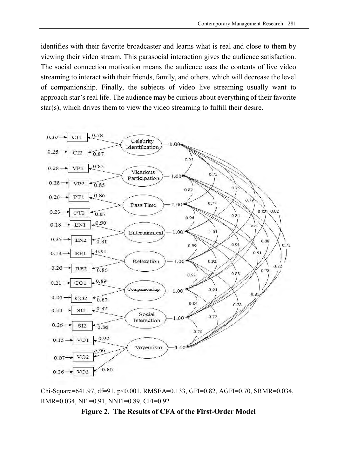identifies with their favorite broadcaster and learns what is real and close to them by viewing their video stream. This parasocial interaction gives the audience satisfaction. The social connection motivation means the audience uses the contents of live video streaming to interact with their friends, family, and others, which will decrease the level of companionship. Finally, the subjects of video live streaming usually want to approach star's real life. The audience may be curious about everything of their favorite star(s), which drives them to view the video streaming to fulfill their desire.



Chi-Square=641.97, df=91, p<0.001, RMSEA=0.133, GFI=0.82, AGFI=0.70, SRMR=0.034, RMR=0.034, NFI=0.91, NNFI=0.89, CFI=0.92

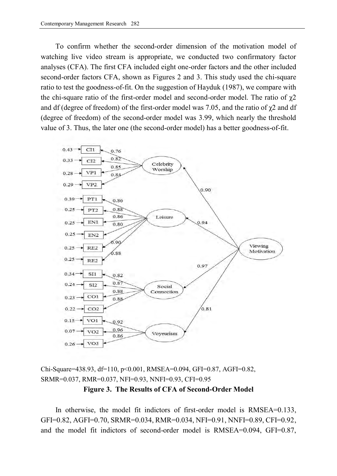To confirm whether the second-order dimension of the motivation model of watching live video stream is appropriate, we conducted two confirmatory factor analyses (CFA). The first CFA included eight one-order factors and the other included second-order factors CFA, shown as Figures 2 and 3. This study used the chi-square ratio to test the goodness-of-fit. On the suggestion of Hayduk (1987), we compare with the chi-square ratio of the first-order model and second-order model. The ratio of  $\gamma$ 2 and df (degree of freedom) of the first-order model was 7.05, and the ratio of  $\chi$ 2 and df (degree of freedom) of the second-order model was 3.99, which nearly the threshold value of 3. Thus, the later one (the second-order model) has a better goodness-of-fit.



Chi-Square=438.93, df=110, p<0.001, RMSEA=0.094, GFI=0.87, AGFI=0.82, SRMR=0.037, RMR=0.037, NFI=0.93, NNFI=0.93, CFI=0.95 **Figure 3. The Results of CFA of Second-Order Model**

In otherwise, the model fit indictors of first-order model is RMSEA=0.133, GFI=0.82, AGFI=0.70, SRMR=0.034, RMR=0.034, NFI=0.91, NNFI=0.89, CFI=0.92, and the model fit indictors of second-order model is RMSEA=0.094, GFI=0.87,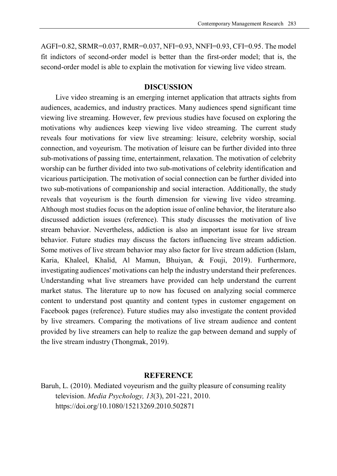AGFI=0.82, SRMR=0.037, RMR=0.037, NFI=0.93, NNFI=0.93, CFI=0.95. The model fit indictors of second-order model is better than the first-order model; that is, the second-order model is able to explain the motivation for viewing live video stream.

## **DISCUSSION**

Live video streaming is an emerging internet application that attracts sights from audiences, academics, and industry practices. Many audiences spend significant time viewing live streaming. However, few previous studies have focused on exploring the motivations why audiences keep viewing live video streaming. The current study reveals four motivations for view live streaming: leisure, celebrity worship, social connection, and voyeurism. The motivation of leisure can be further divided into three sub-motivations of passing time, entertainment, relaxation. The motivation of celebrity worship can be further divided into two sub-motivations of celebrity identification and vicarious participation. The motivation of social connection can be further divided into two sub-motivations of companionship and social interaction. Additionally, the study reveals that voyeurism is the fourth dimension for viewing live video streaming. Although most studies focus on the adoption issue of online behavior, the literature also discussed addiction issues (reference). This study discusses the motivation of live stream behavior. Nevertheless, addiction is also an important issue for live stream behavior. Future studies may discuss the factors influencing live stream addiction. Some motives of live stream behavior may also factor for live stream addiction (Islam, Karia, Khaleel, Khalid, Al Mamun, Bhuiyan, & Fouji, 2019). Furthermore, investigating audiences' motivations can help the industry understand their preferences. Understanding what live streamers have provided can help understand the current market status. The literature up to now has focused on analyzing social commerce content to understand post quantity and content types in customer engagement on Facebook pages (reference). Future studies may also investigate the content provided by live streamers. Comparing the motivations of live stream audience and content provided by live streamers can help to realize the gap between demand and supply of the live stream industry (Thongmak, 2019).

#### **REFERENCE**

Baruh, L. (2010). Mediated voyeurism and the guilty pleasure of consuming reality television. *Media Psychology, 13*(3), 201-221, 2010. https://doi.org/10.1080/15213269.2010.502871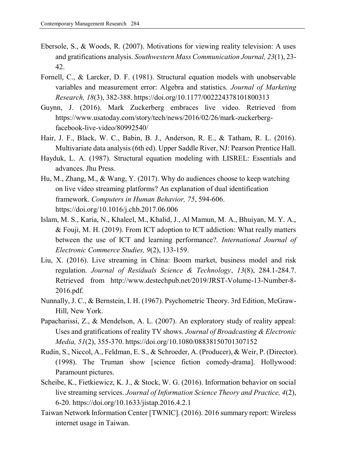- Ebersole, S., & Woods, R. (2007). Motivations for viewing reality television: A uses and gratifications analysis. *Southwestern Mass Communication Journal, 23*(1), 23- 42.
- Fornell, C., & Larcker, D. F. (1981). Structural equation models with unobservable variables and measurement error: Algebra and statistics. *Journal of Marketing Research, 18*(3), 382-388. https://doi.org/10.1177/002224378101800313
- Guynn, J. (2016). Mark Zuckerberg embraces live video. Retrieved from https://www.usatoday.com/story/tech/news/2016/02/26/mark-zuckerbergfacebook-live-video/80992540/
- Hair, J. F., Black, W. C., Babin, B. J., Anderson, R. E., & Tatham, R. L. (2016). Multivariate data analysis (6th ed). Upper Saddle River, NJ: Pearson Prentice Hall.
- Hayduk, L. A. (1987). Structural equation modeling with LISREL: Essentials and advances. Jhu Press.
- Hu, M., Zhang, M., & Wang, Y. (2017). Why do audiences choose to keep watching on live video streaming platforms? An explanation of dual identification framework. *Computers in Human Behavior, 75*, 594-606. https://doi.org/10.1016/j.chb.2017.06.006
- Islam, M. S., Karia, N., Khaleel, M., Khalid, J., Al Mamun, M. A., Bhuiyan, M. Y. A., & Fouji, M. H. (2019). From ICT adoption to ICT addiction: What really matters between the use of ICT and learning performance?. *International Journal of Electronic Commerce Studies, 9*(2), 133-159.
- Liu, X. (2016). Live streaming in China: Boom market, business model and risk regulation. *Journal of Residuals Science & Technology*, *13*(8), 284.1-284.7. Retrieved from http://www.destechpub.net/2019/JRST-Volume-13-Number-8- 2016.pdf.
- Nunnally, J. C., & Bernstein, I. H. (1967). Psychometric Theory. 3rd Edition, McGraw-Hill, New York.
- Papacharissi, Z., & Mendelson, A. L. (2007). An exploratory study of reality appeal: Uses and gratifications of reality TV shows. *Journal of Broadcasting & Electronic Media, 51*(2), 355-370. https://doi.org/10.1080/08838150701307152
- Rudin, S., Niccol, A., Feldman, E. S., & Schroeder, A. (Producer), & Weir, P. (Director). (1998). The Truman show [science fiction comedy-drama]. Hollywood: Paramount pictures.
- Scheibe, K., Fietkiewicz, K. J., & Stock, W. G. (2016). Information behavior on social live streaming services. *Journal of Information Science Theory and Practice, 4*(2), 6-20. https://doi.org/10.1633/jistap.2016.4.2.1
- Taiwan Network Information Center [TWNIC]. (2016). 2016 summary report: Wireless internet usage in Taiwan.